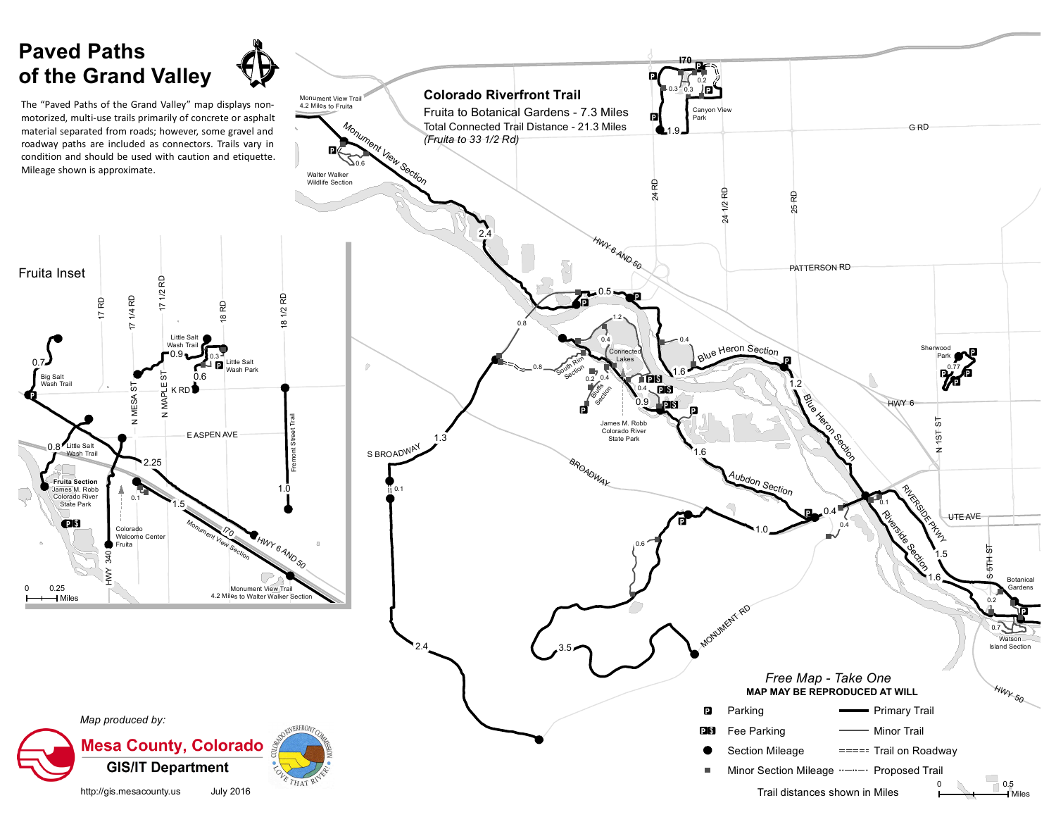